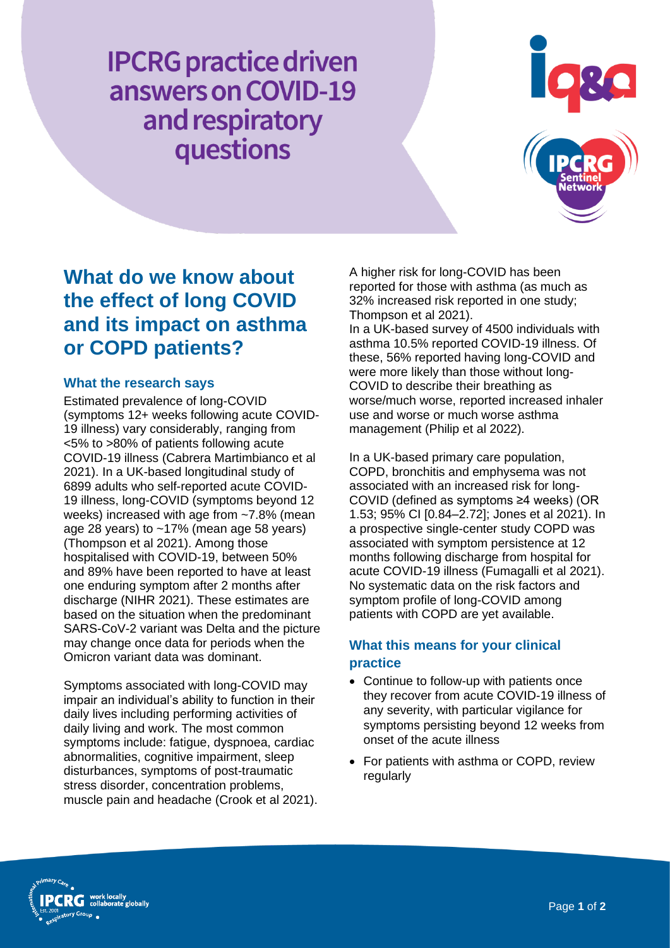**IPCRG** practice driven answers on COVID-19 and respiratory questions



# **What do we know about the effect of long COVID and its impact on asthma or COPD patients?**

#### **What the research says**

Estimated prevalence of long-COVID (symptoms 12+ weeks following acute COVID-19 illness) vary considerably, ranging from <5% to >80% of patients following acute COVID-19 illness (Cabrera Martimbianco et al 2021). In a UK-based longitudinal study of 6899 adults who self-reported acute COVID-19 illness, long-COVID (symptoms beyond 12 weeks) increased with age from ~7.8% (mean age 28 years) to ~17% (mean age 58 years) (Thompson et al 2021). Among those hospitalised with COVID-19, between 50% and 89% have been reported to have at least one enduring symptom after 2 months after discharge (NIHR 2021). These estimates are based on the situation when the predominant SARS-CoV-2 variant was Delta and the picture may change once data for periods when the Omicron variant data was dominant.

Symptoms associated with long-COVID may impair an individual's ability to function in their daily lives including performing activities of daily living and work. The most common symptoms include: fatigue, dyspnoea, cardiac abnormalities, cognitive impairment, sleep disturbances, symptoms of post-traumatic stress disorder, concentration problems, muscle pain and headache (Crook et al 2021). A higher risk for long-COVID has been reported for those with asthma (as much as 32% increased risk reported in one study; Thompson et al 2021). In a UK-based survey of 4500 individuals with asthma 10.5% reported COVID-19 illness. Of these, 56% reported having long-COVID and were more likely than those without long-COVID to describe their breathing as worse/much worse, reported increased inhaler use and worse or much worse asthma

management (Philip et al 2022).

In a UK-based primary care population, COPD, bronchitis and emphysema was not associated with an increased risk for long-COVID (defined as symptoms ≥4 weeks) (OR 1.53; 95% CI [0.84–2.72]; Jones et al 2021). In a prospective single-center study COPD was associated with symptom persistence at 12 months following discharge from hospital for acute COVID-19 illness (Fumagalli et al 2021). No systematic data on the risk factors and symptom profile of long-COVID among patients with COPD are yet available.

## **What this means for your clinical practice**

- Continue to follow-up with patients once they recover from acute COVID-19 illness of any severity, with particular vigilance for symptoms persisting beyond 12 weeks from onset of the acute illness
- For patients with asthma or COPD, review regularly